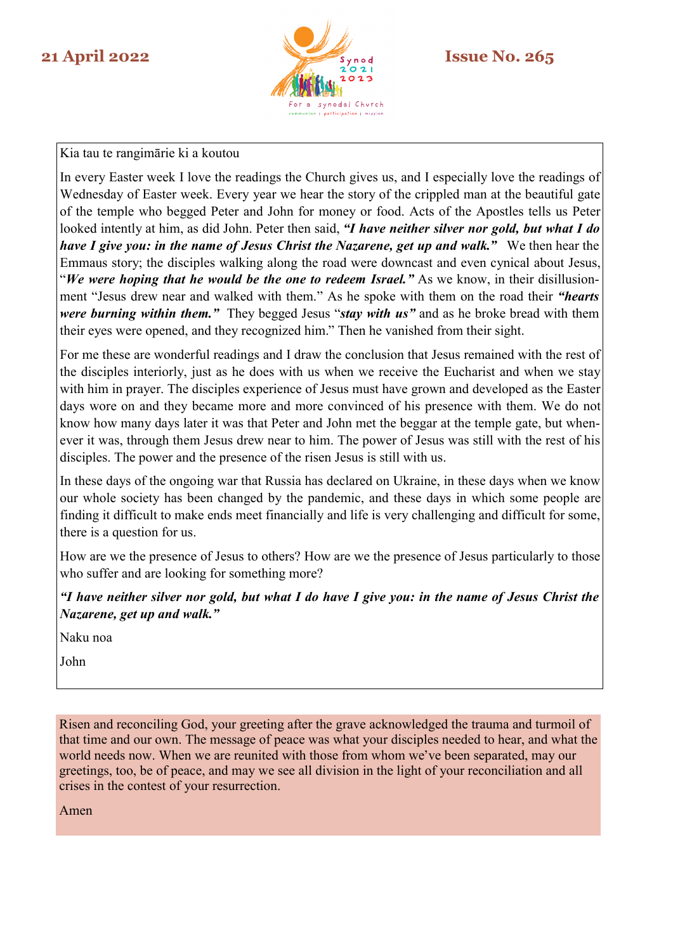

Kia tau te rangimārie ki a koutou

In every Easter week I love the readings the Church gives us, and I especially love the readings of Wednesday of Easter week. Every year we hear the story of the crippled man at the beautiful gate of the temple who begged Peter and John for money or food. Acts of the Apostles tells us Peter looked intently at him, as did John. Peter then said, *"I have neither silver nor gold, but what I do have I give you: in the name of Jesus Christ the Nazarene, get up and walk."* We then hear the Emmaus story; the disciples walking along the road were downcast and even cynical about Jesus, "*We were hoping that he would be the one to redeem Israel."* As we know, in their disillusionment "Jesus drew near and walked with them." As he spoke with them on the road their *"hearts were burning within them."* They begged Jesus "*stay with us"* and as he broke bread with them their eyes were opened, and they recognized him." Then he vanished from their sight.

For me these are wonderful readings and I draw the conclusion that Jesus remained with the rest of the disciples interiorly, just as he does with us when we receive the Eucharist and when we stay with him in prayer. The disciples experience of Jesus must have grown and developed as the Easter days wore on and they became more and more convinced of his presence with them. We do not know how many days later it was that Peter and John met the beggar at the temple gate, but whenever it was, through them Jesus drew near to him. The power of Jesus was still with the rest of his disciples. The power and the presence of the risen Jesus is still with us.

In these days of the ongoing war that Russia has declared on Ukraine, in these days when we know our whole society has been changed by the pandemic, and these days in which some people are finding it difficult to make ends meet financially and life is very challenging and difficult for some, there is a question for us.

How are we the presence of Jesus to others? How are we the presence of Jesus particularly to those who suffer and are looking for something more?

*"I have neither silver nor gold, but what I do have I give you: in the name of Jesus Christ the Nazarene, get up and walk."*

Naku noa

John

Risen and reconciling God, your greeting after the grave acknowledged the trauma and turmoil of that time and our own. The message of peace was what your disciples needed to hear, and what the world needs now. When we are reunited with those from whom we've been separated, may our greetings, too, be of peace, and may we see all division in the light of your reconciliation and all crises in the contest of your resurrection.

Amen